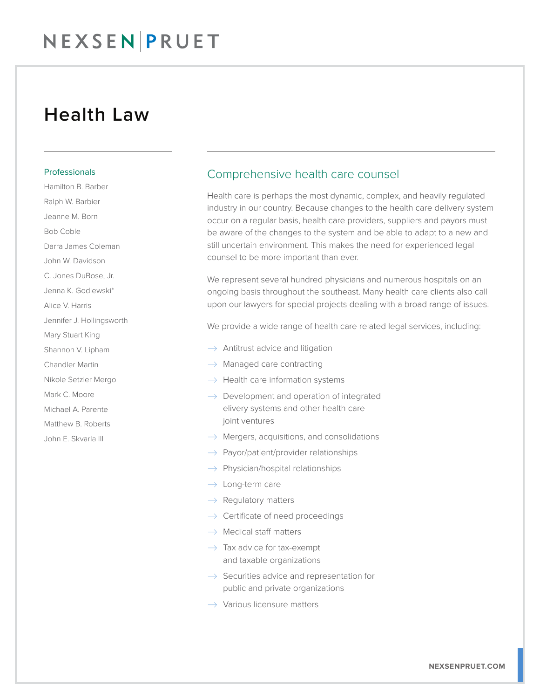### Health Law

#### Professionals

Hamilton B. Barber Ralph W. Barbier Jeanne M. Born Bob Coble Darra James Coleman John W. Davidson C. Jones DuBose, Jr. Jenna K. Godlewski\* Alice V. Harris Jennifer J. Hollingsworth Mary Stuart King Shannon V. Lipham Chandler Martin Nikole Setzler Mergo Mark C. Moore Michael A. Parente Matthew B. Roberts John E. Skvarla III

### Comprehensive health care counsel

Health care is perhaps the most dynamic, complex, and heavily regulated industry in our country. Because changes to the health care delivery system occur on a regular basis, health care providers, suppliers and payors must be aware of the changes to the system and be able to adapt to a new and still uncertain environment. This makes the need for experienced legal counsel to be more important than ever.

We represent several hundred physicians and numerous hospitals on an ongoing basis throughout the southeast. Many health care clients also call upon our lawyers for special projects dealing with a broad range of issues.

We provide a wide range of health care related legal services, including:

- $\rightarrow$  Antitrust advice and litigation
- $\rightarrow$  Managed care contracting
- $\rightarrow$  Health care information systems
- $\rightarrow$  Development and operation of integrated elivery systems and other health care joint ventures
- $\rightarrow$  Mergers, acquisitions, and consolidations
- $\rightarrow$  Payor/patient/provider relationships
- $\rightarrow$  Physician/hospital relationships
- $\rightarrow$  Long-term care
- $\rightarrow$  Regulatory matters
- $\rightarrow$  Certificate of need proceedings
- $\rightarrow$  Medical staff matters
- $\rightarrow$  Tax advice for tax-exempt and taxable organizations
- $\rightarrow$  Securities advice and representation for public and private organizations
- $\rightarrow$  Various licensure matters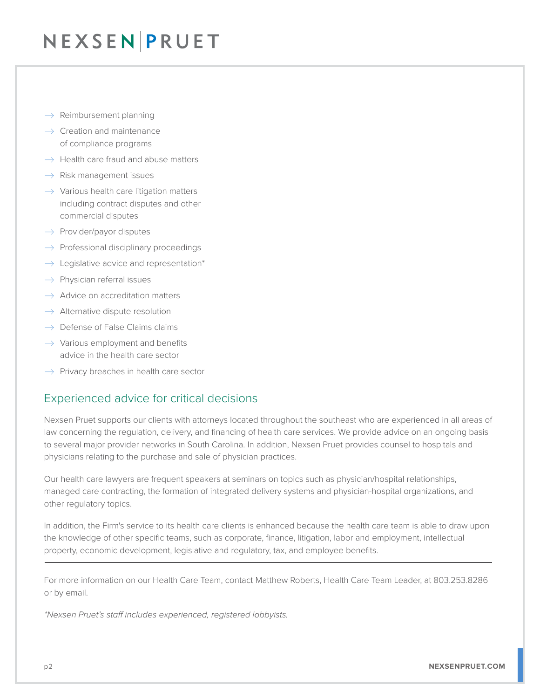- $\rightarrow$  Reimbursement planning
- $\rightarrow$  Creation and maintenance of compliance programs
- $\rightarrow$  Health care fraud and abuse matters
- $\rightarrow$  Risk management issues
- $\rightarrow$  Various health care litigation matters including contract disputes and other commercial disputes
- $\rightarrow$  Provider/payor disputes
- $\rightarrow$  Professional disciplinary proceedings
- $\rightarrow$  Legislative advice and representation\*
- $\rightarrow$  Physician referral issues
- $\rightarrow$  Advice on accreditation matters
- $\rightarrow$  Alternative dispute resolution
- $\rightarrow$  Defense of False Claims claims
- $\rightarrow$  Various employment and benefits advice in the health care sector
- $\rightarrow$  Privacy breaches in health care sector

### Experienced advice for critical decisions

Nexsen Pruet supports our clients with attorneys located throughout the southeast who are experienced in all areas of law concerning the regulation, delivery, and financing of health care services. We provide advice on an ongoing basis to several major provider networks in South Carolina. In addition, Nexsen Pruet provides counsel to hospitals and physicians relating to the purchase and sale of physician practices.

Our health care lawyers are frequent speakers at seminars on topics such as physician/hospital relationships, managed care contracting, the formation of integrated delivery systems and physician-hospital organizations, and other regulatory topics.

In addition, the Firm's service to its health care clients is enhanced because the health care team is able to draw upon the knowledge of other specific teams, such as corporate, finance, litigation, labor and employment, intellectual property, economic development, legislative and regulatory, tax, and employee benefits.  $\overline{a}$ 

For more information on our Health Care Team, contact Matthew Roberts, Health Care Team Leader, at 803.253.8286 or by email.

*\*Nexsen Pruet's staff includes experienced, registered lobbyists.*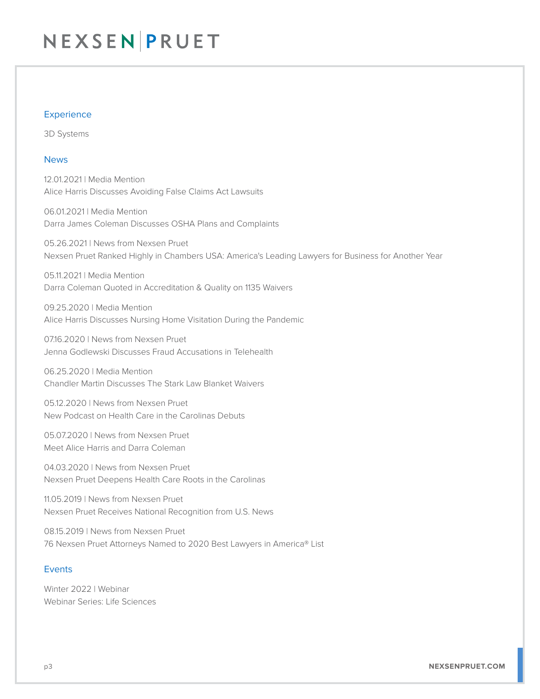#### **Experience**

3D Systems

#### News

12.01.2021 | Media Mention Alice Harris Discusses Avoiding False Claims Act Lawsuits

06.01.2021 | Media Mention Darra James Coleman Discusses OSHA Plans and Complaints

05.26.2021 | News from Nexsen Pruet Nexsen Pruet Ranked Highly in Chambers USA: America's Leading Lawyers for Business for Another Year

05.11.2021 | Media Mention Darra Coleman Quoted in Accreditation & Quality on 1135 Waivers

09.25.2020 | Media Mention Alice Harris Discusses Nursing Home Visitation During the Pandemic

07.16.2020 | News from Nexsen Pruet Jenna Godlewski Discusses Fraud Accusations in Telehealth

06.25.2020 | Media Mention Chandler Martin Discusses The Stark Law Blanket Waivers

05.12.2020 | News from Nexsen Pruet New Podcast on Health Care in the Carolinas Debuts

05.07.2020 | News from Nexsen Pruet Meet Alice Harris and Darra Coleman

04.03.2020 | News from Nexsen Pruet Nexsen Pruet Deepens Health Care Roots in the Carolinas

11.05.2019 | News from Nexsen Pruet Nexsen Pruet Receives National Recognition from U.S. News

08.15.2019 | News from Nexsen Pruet 76 Nexsen Pruet Attorneys Named to 2020 Best Lawyers in America® List

#### Events

Winter 2022 | Webinar Webinar Series: Life Sciences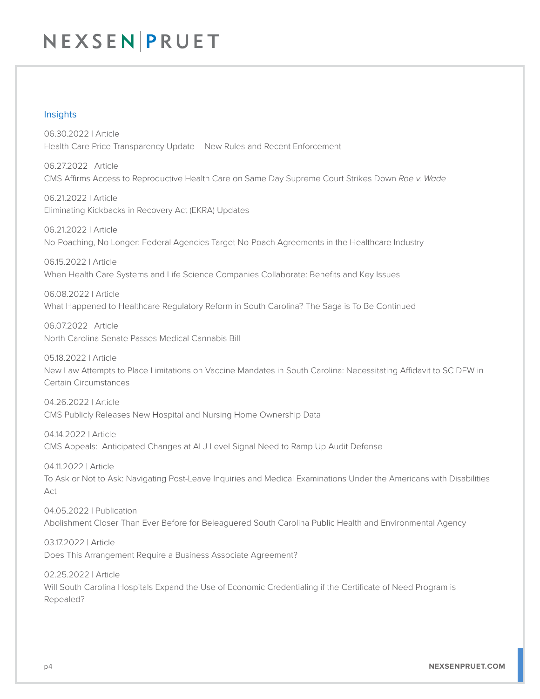#### Insights

06.30.2022 | Article Health Care Price Transparency Update – New Rules and Recent Enforcement

06.27.2022 | Article CMS Affirms Access to Reproductive Health Care on Same Day Supreme Court Strikes Down *Roe v. Wade*

06.21.2022 | Article Eliminating Kickbacks in Recovery Act (EKRA) Updates

06.21.2022 | Article No-Poaching, No Longer: Federal Agencies Target No-Poach Agreements in the Healthcare Industry

06.15.2022 | Article When Health Care Systems and Life Science Companies Collaborate: Benefits and Key Issues

06.08.2022 | Article What Happened to Healthcare Regulatory Reform in South Carolina? The Saga is To Be Continued

06.07.2022 | Article North Carolina Senate Passes Medical Cannabis Bill

05.18.2022 | Article New Law Attempts to Place Limitations on Vaccine Mandates in South Carolina: Necessitating Affidavit to SC DEW in Certain Circumstances

04.26.2022 | Article CMS Publicly Releases New Hospital and Nursing Home Ownership Data

04.14.2022 | Article CMS Appeals: Anticipated Changes at ALJ Level Signal Need to Ramp Up Audit Defense

04.11.2022 | Article To Ask or Not to Ask: Navigating Post-Leave Inquiries and Medical Examinations Under the Americans with Disabilities Act

04.05.2022 | Publication Abolishment Closer Than Ever Before for Beleaguered South Carolina Public Health and Environmental Agency

03.17.2022 | Article Does This Arrangement Require a Business Associate Agreement?

02.25.2022 | Article Will South Carolina Hospitals Expand the Use of Economic Credentialing if the Certificate of Need Program is Repealed?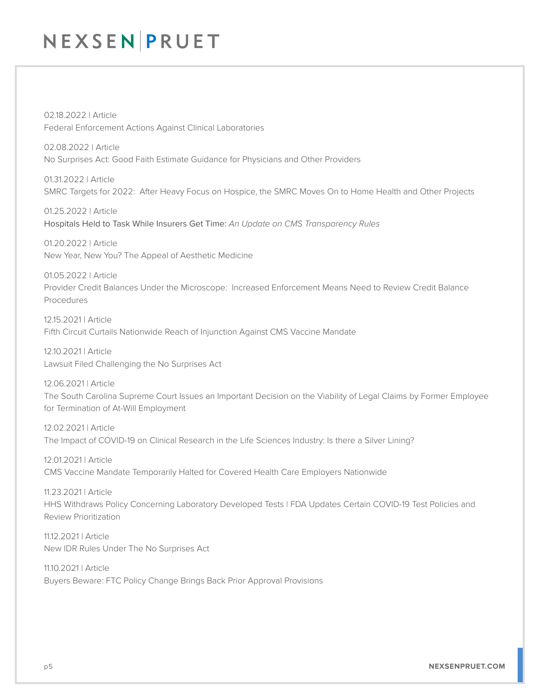02.18.2022 | Article Federal Enforcement Actions Against Clinical Laboratories

02.08.2022 | Article No Surprises Act: Good Faith Estimate Guidance for Physicians and Other Providers

01.31.2022 | Article SMRC Targets for 2022: After Heavy Focus on Hospice, the SMRC Moves On to Home Health and Other Projects

01.25.2022 | Article Hospitals Held to Task While Insurers Get Time: *An Update on CMS Transparency Rules*

01.20.2022 | Article New Year, New You? The Appeal of Aesthetic Medicine

01.05.2022 | Article Provider Credit Balances Under the Microscope: Increased Enforcement Means Need to Review Credit Balance Procedures

12.15.2021 | Article Fifth Circuit Curtails Nationwide Reach of Injunction Against CMS Vaccine Mandate

12.10.2021 | Article Lawsuit Filed Challenging the No Surprises Act

12.06.2021 | Article The South Carolina Supreme Court Issues an Important Decision on the Viability of Legal Claims by Former Employee for Termination of At-Will Employment

12.02.2021 | Article The Impact of COVID-19 on Clinical Research in the Life Sciences Industry: Is there a Silver Lining?

12.01.2021 | Article CMS Vaccine Mandate Temporarily Halted for Covered Health Care Employers Nationwide

11.23.2021 | Article HHS Withdraws Policy Concerning Laboratory Developed Tests | FDA Updates Certain COVID-19 Test Policies and Review Prioritization

11.12.2021 | Article New IDR Rules Under The No Surprises Act

11.10.2021 | Article Buyers Beware: FTC Policy Change Brings Back Prior Approval Provisions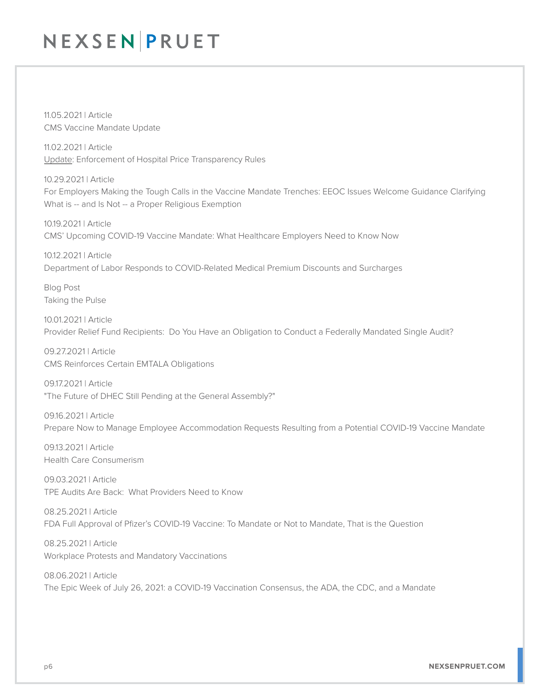11.05.2021 | Article CMS Vaccine Mandate Update

11.02.2021 | Article Update: Enforcement of Hospital Price Transparency Rules

10.29.2021 | Article For Employers Making the Tough Calls in the Vaccine Mandate Trenches: EEOC Issues Welcome Guidance Clarifying What is -- and Is Not -- a Proper Religious Exemption

10.19.2021 | Article CMS' Upcoming COVID-19 Vaccine Mandate: What Healthcare Employers Need to Know Now

10.12.2021 | Article Department of Labor Responds to COVID-Related Medical Premium Discounts and Surcharges

Blog Post Taking the Pulse

10.01.2021 | Article Provider Relief Fund Recipients: Do You Have an Obligation to Conduct a Federally Mandated Single Audit?

09.27.2021 | Article CMS Reinforces Certain EMTALA Obligations

09.17.2021 | Article "The Future of DHEC Still Pending at the General Assembly?"

09.16.2021 | Article Prepare Now to Manage Employee Accommodation Requests Resulting from a Potential COVID-19 Vaccine Mandate

09.13.2021 | Article Health Care Consumerism

09.03.2021 | Article TPE Audits Are Back: What Providers Need to Know

08.25.2021 | Article FDA Full Approval of Pfizer's COVID-19 Vaccine: To Mandate or Not to Mandate, That is the Question

08.25.2021 | Article Workplace Protests and Mandatory Vaccinations

08.06.2021 | Article The Epic Week of July 26, 2021: a COVID-19 Vaccination Consensus, the ADA, the CDC, and a Mandate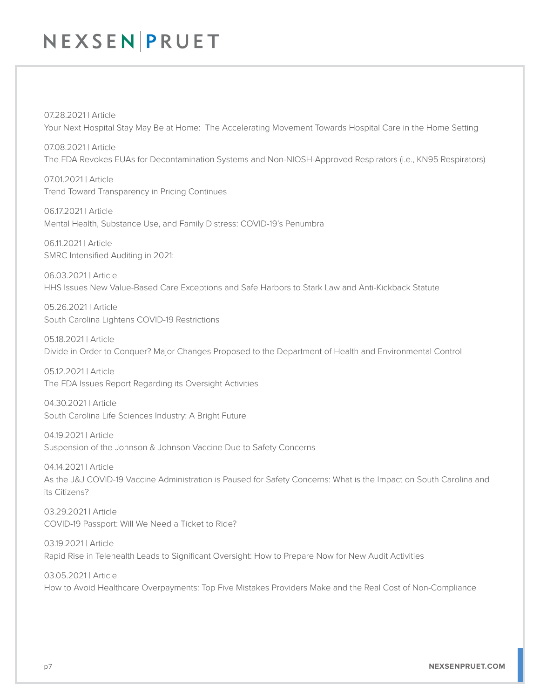07.28.2021 | Article Your Next Hospital Stay May Be at Home: The Accelerating Movement Towards Hospital Care in the Home Setting

07.08.2021 | Article The FDA Revokes EUAs for Decontamination Systems and Non-NIOSH-Approved Respirators (i.e., KN95 Respirators)

07.01.2021 | Article Trend Toward Transparency in Pricing Continues

06.17.2021 | Article Mental Health, Substance Use, and Family Distress: COVID-19's Penumbra

06.11.2021 | Article SMRC Intensified Auditing in 2021:

06.03.2021 | Article HHS Issues New Value-Based Care Exceptions and Safe Harbors to Stark Law and Anti-Kickback Statute

05.26.2021 | Article South Carolina Lightens COVID-19 Restrictions

05.18.2021 | Article Divide in Order to Conquer? Major Changes Proposed to the Department of Health and Environmental Control

05.12.2021 | Article The FDA Issues Report Regarding its Oversight Activities

04.30.2021 | Article South Carolina Life Sciences Industry: A Bright Future

04.19.2021 | Article Suspension of the Johnson & Johnson Vaccine Due to Safety Concerns

04.14.2021 | Article As the J&J COVID-19 Vaccine Administration is Paused for Safety Concerns: What is the Impact on South Carolina and its Citizens?

03.29.2021 | Article COVID-19 Passport: Will We Need a Ticket to Ride?

03.19.2021 | Article Rapid Rise in Telehealth Leads to Significant Oversight: How to Prepare Now for New Audit Activities

03.05.2021 | Article How to Avoid Healthcare Overpayments: Top Five Mistakes Providers Make and the Real Cost of Non-Compliance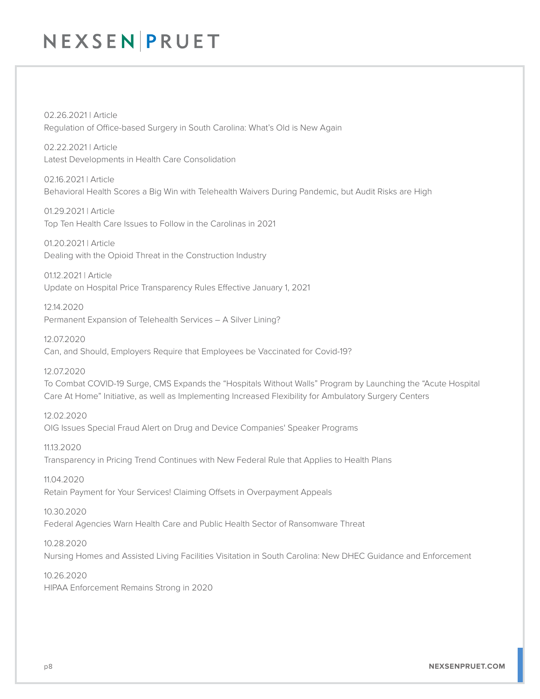02.26.2021 | Article Regulation of Office-based Surgery in South Carolina: What's Old is New Again

02.22.2021 | Article Latest Developments in Health Care Consolidation

02.16.2021 | Article Behavioral Health Scores a Big Win with Telehealth Waivers During Pandemic, but Audit Risks are High

01.29.2021 | Article Top Ten Health Care Issues to Follow in the Carolinas in 2021

01.20.2021 | Article Dealing with the Opioid Threat in the Construction Industry

01.12.2021 | Article Update on Hospital Price Transparency Rules Effective January 1, 2021

12.14.2020 Permanent Expansion of Telehealth Services – A Silver Lining?

12.07.2020 Can, and Should, Employers Require that Employees be Vaccinated for Covid-19?

12.07.2020

To Combat COVID-19 Surge, CMS Expands the "Hospitals Without Walls" Program by Launching the "Acute Hospital Care At Home" Initiative, as well as Implementing Increased Flexibility for Ambulatory Surgery Centers

12.02.2020 OIG Issues Special Fraud Alert on Drug and Device Companies' Speaker Programs

11.13.2020 Transparency in Pricing Trend Continues with New Federal Rule that Applies to Health Plans

11.04.2020 Retain Payment for Your Services! Claiming Offsets in Overpayment Appeals

10.30.2020

Federal Agencies Warn Health Care and Public Health Sector of Ransomware Threat

10.28.2020 Nursing Homes and Assisted Living Facilities Visitation in South Carolina: New DHEC Guidance and Enforcement

10.26.2020 HIPAA Enforcement Remains Strong in 2020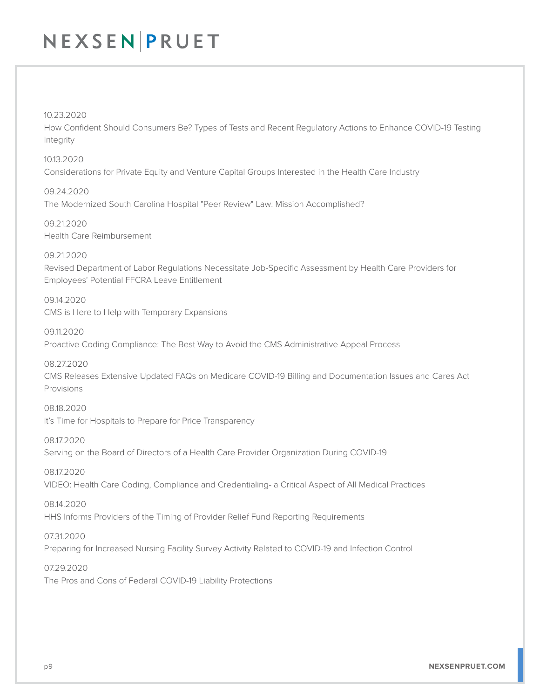10.23.2020

How Confident Should Consumers Be? Types of Tests and Recent Regulatory Actions to Enhance COVID-19 Testing Integrity

10.13.2020 Considerations for Private Equity and Venture Capital Groups Interested in the Health Care Industry

09.24.2020 The Modernized South Carolina Hospital "Peer Review" Law: Mission Accomplished?

09.21.2020 Health Care Reimbursement

09.21.2020 Revised Department of Labor Regulations Necessitate Job-Specific Assessment by Health Care Providers for Employees' Potential FFCRA Leave Entitlement

09.14.2020 CMS is Here to Help with Temporary Expansions

09.11.2020 Proactive Coding Compliance: The Best Way to Avoid the CMS Administrative Appeal Process

08.27.2020 CMS Releases Extensive Updated FAQs on Medicare COVID-19 Billing and Documentation Issues and Cares Act Provisions

08.18.2020 It's Time for Hospitals to Prepare for Price Transparency

08.17.2020 Serving on the Board of Directors of a Health Care Provider Organization During COVID-19

08.17.2020 VIDEO: Health Care Coding, Compliance and Credentialing- a Critical Aspect of All Medical Practices

08.14.2020 HHS Informs Providers of the Timing of Provider Relief Fund Reporting Requirements

07.31.2020 Preparing for Increased Nursing Facility Survey Activity Related to COVID-19 and Infection Control

07.29.2020 The Pros and Cons of Federal COVID-19 Liability Protections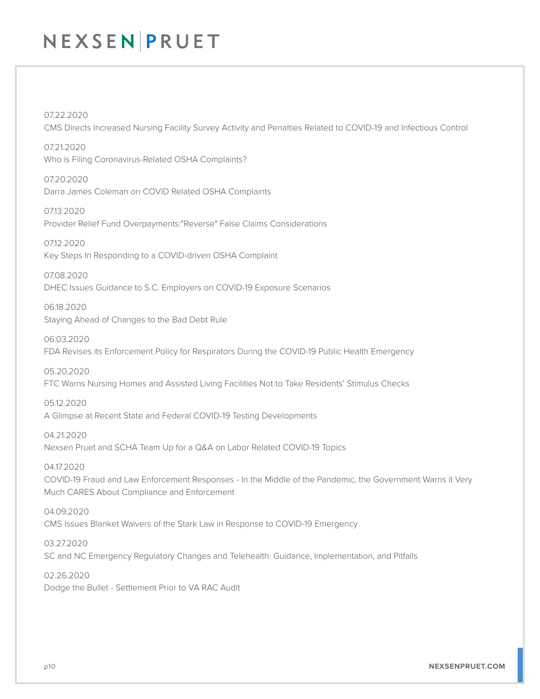07.22.2020 CMS Directs Increased Nursing Facility Survey Activity and Penalties Related to COVID-19 and Infectious Control

07.21.2020 Who is Filing Coronavirus-Related OSHA Complaints?

07.20.2020 Darra James Coleman on COVID Related OSHA Complaints

07.13.2020 Provider Relief Fund Overpayments:"Reverse" False Claims Considerations

07.12.2020 Key Steps In Responding to a COVID-driven OSHA Complaint

07.08.2020 DHEC Issues Guidance to S.C. Employers on COVID-19 Exposure Scenarios

06.18.2020 Staying Ahead of Changes to the Bad Debt Rule

06.03.2020 FDA Revises its Enforcement Policy for Respirators During the COVID-19 Public Health Emergency

05.20.2020

FTC Warns Nursing Homes and Assisted Living Facilities Not to Take Residents' Stimulus Checks

05.12.2020

A Glimpse at Recent State and Federal COVID-19 Testing Developments

04.21.2020 Nexsen Pruet and SCHA Team Up for a Q&A on Labor Related COVID-19 Topics

04.17.2020 COVID-19 Fraud and Law Enforcement Responses - In the Middle of the Pandemic, the Government Warns it Very Much CARES About Compliance and Enforcement

04.09.2020 CMS Issues Blanket Waivers of the Stark Law in Response to COVID-19 Emergency

03.27.2020 SC and NC Emergency Regulatory Changes and Telehealth: Guidance, Implementation, and Pitfalls

02.26.2020 Dodge the Bullet - Settlement Prior to VA RAC Audit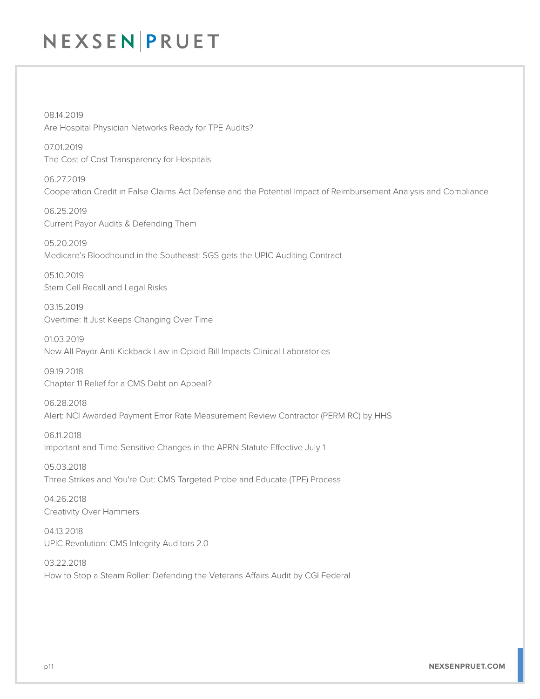08.14.2019 Are Hospital Physician Networks Ready for TPE Audits?

07.01.2019 The Cost of Cost Transparency for Hospitals

06.27.2019 Cooperation Credit in False Claims Act Defense and the Potential Impact of Reimbursement Analysis and Compliance

06.25.2019 Current Payor Audits & Defending Them

05.20.2019 Medicare's Bloodhound in the Southeast: SGS gets the UPIC Auditing Contract

05.10.2019 Stem Cell Recall and Legal Risks

03.15.2019 Overtime: It Just Keeps Changing Over Time

01.03.2019 New All-Payor Anti-Kickback Law in Opioid Bill Impacts Clinical Laboratories

09.19.2018 Chapter 11 Relief for a CMS Debt on Appeal?

06.28.2018 Alert: NCI Awarded Payment Error Rate Measurement Review Contractor (PERM RC) by HHS

06.11.2018 Important and Time-Sensitive Changes in the APRN Statute Effective July 1

05.03.2018 Three Strikes and You're Out: CMS Targeted Probe and Educate (TPE) Process

04.26.2018 Creativity Over Hammers

04.13.2018 UPIC Revolution: CMS Integrity Auditors 2.0

03.22.2018 How to Stop a Steam Roller: Defending the Veterans Affairs Audit by CGI Federal